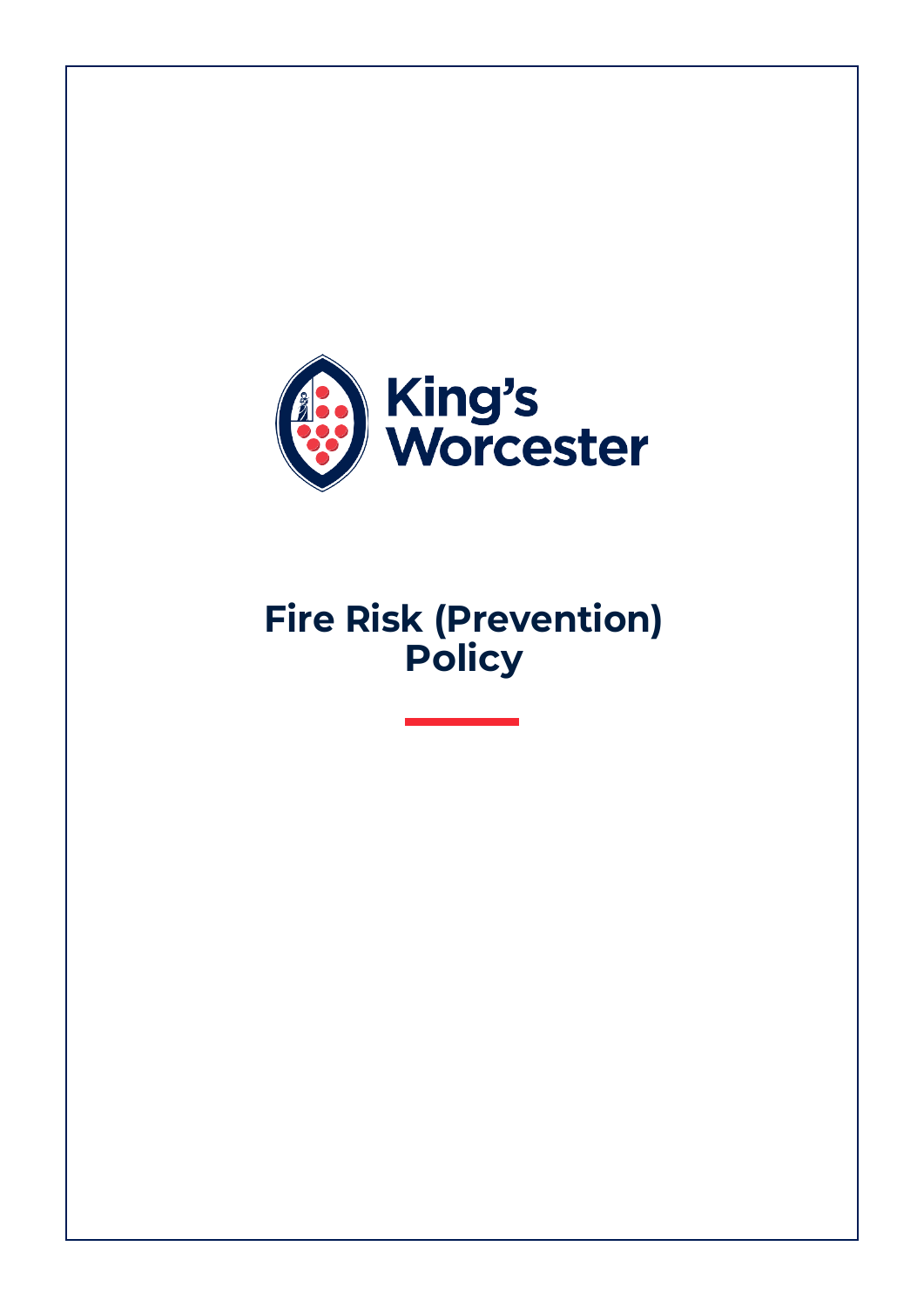

# **Fire Risk (Prevention) Policy**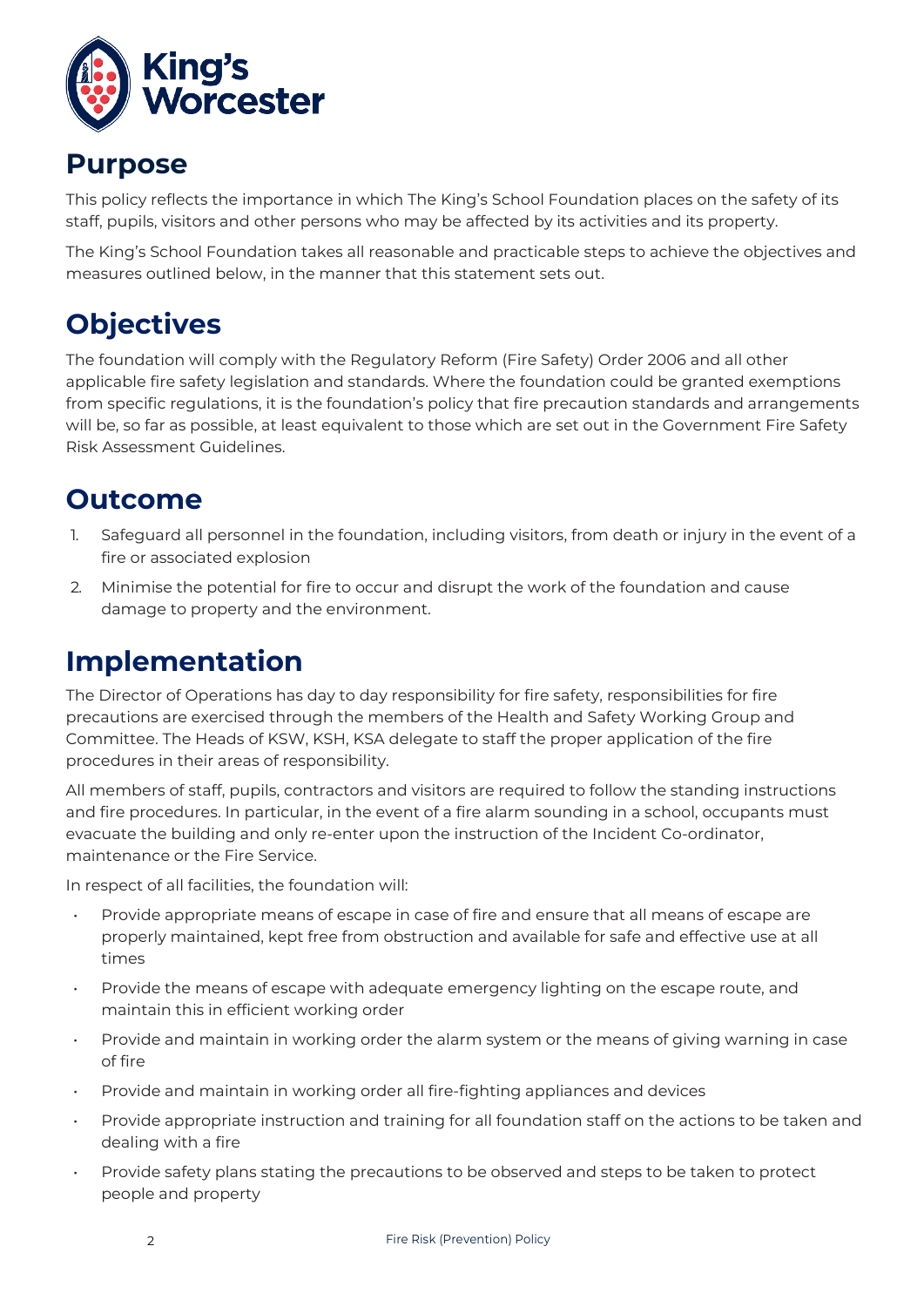

#### **Purpose**

This policy reflects the importance in which The King's School Foundation places on the safety of its staff, pupils, visitors and other persons who may be affected by its activities and its property.

The King's School Foundation takes all reasonable and practicable steps to achieve the objectives and measures outlined below, in the manner that this statement sets out.

# **Objectives**

The foundation will comply with the Regulatory Reform (Fire Safety) Order 2006 and all other applicable fire safety legislation and standards. Where the foundation could be granted exemptions from specific regulations, it is the foundation's policy that fire precaution standards and arrangements will be, so far as possible, at least equivalent to those which are set out in the Government Fire Safety Risk Assessment Guidelines.

#### **Outcome**

- 1. Safeguard all personnel in the foundation, including visitors, from death or injury in the event of a fire or associated explosion
- 2. Minimise the potential for fire to occur and disrupt the work of the foundation and cause damage to property and the environment.

### **Implementation**

The Director of Operations has day to day responsibility for fire safety, responsibilities for fire precautions are exercised through the members of the Health and Safety Working Group and Committee. The Heads of KSW, KSH, KSA delegate to staff the proper application of the fire procedures in their areas of responsibility.

All members of staff, pupils, contractors and visitors are required to follow the standing instructions and fire procedures. In particular, in the event of a fire alarm sounding in a school, occupants must evacuate the building and only re-enter upon the instruction of the Incident Co-ordinator, maintenance or the Fire Service.

In respect of all facilities, the foundation will:

- Provide appropriate means of escape in case of fire and ensure that all means of escape are properly maintained, kept free from obstruction and available for safe and effective use at all times
- Provide the means of escape with adequate emergency lighting on the escape route, and maintain this in efficient working order
- Provide and maintain in working order the alarm system or the means of giving warning in case of fire
- Provide and maintain in working order all fire-fighting appliances and devices
- Provide appropriate instruction and training for all foundation staff on the actions to be taken and dealing with a fire
- Provide safety plans stating the precautions to be observed and steps to be taken to protect people and property